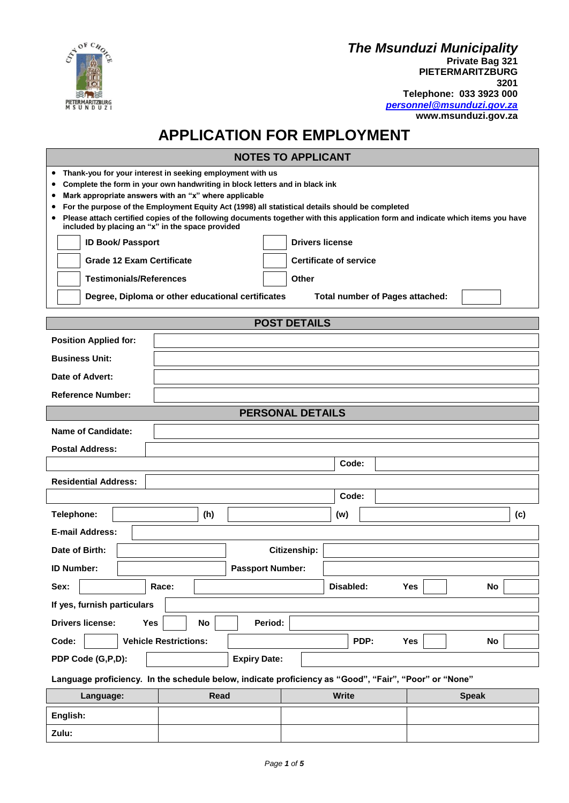

**Zulu:**

## *The Msunduzi Municipality* **Private Bag 321 PIETERMARITZBURG 3201 Telephone: 033 3923 000** *[personnel@msunduzi.gov.za](mailto:personnel@msunduzi.gov.za)* **www.msunduzi.gov.za**

## **APPLICATION FOR EMPLOYMENT**

|                                                                                                                                                                                                                                                                                                                                                                                                                                                                                                                              |                                                                   | <b>NOTES TO APPLICANT</b>              |                  |  |
|------------------------------------------------------------------------------------------------------------------------------------------------------------------------------------------------------------------------------------------------------------------------------------------------------------------------------------------------------------------------------------------------------------------------------------------------------------------------------------------------------------------------------|-------------------------------------------------------------------|----------------------------------------|------------------|--|
| Thank-you for your interest in seeking employment with us<br>٠<br>Complete the form in your own handwriting in block letters and in black ink<br>٠<br>Mark appropriate answers with an "x" where applicable<br>٠<br>For the purpose of the Employment Equity Act (1998) all statistical details should be completed<br>٠<br>Please attach certified copies of the following documents together with this application form and indicate which items you have<br>$\bullet$<br>included by placing an "x" in the space provided |                                                                   |                                        |                  |  |
| <b>ID Book/ Passport</b>                                                                                                                                                                                                                                                                                                                                                                                                                                                                                                     |                                                                   | <b>Drivers license</b>                 |                  |  |
|                                                                                                                                                                                                                                                                                                                                                                                                                                                                                                                              | <b>Grade 12 Exam Certificate</b><br><b>Certificate of service</b> |                                        |                  |  |
| <b>Testimonials/References</b>                                                                                                                                                                                                                                                                                                                                                                                                                                                                                               |                                                                   | <b>Other</b>                           |                  |  |
|                                                                                                                                                                                                                                                                                                                                                                                                                                                                                                                              | Degree, Diploma or other educational certificates                 | <b>Total number of Pages attached:</b> |                  |  |
|                                                                                                                                                                                                                                                                                                                                                                                                                                                                                                                              |                                                                   | <b>POST DETAILS</b>                    |                  |  |
| <b>Position Applied for:</b>                                                                                                                                                                                                                                                                                                                                                                                                                                                                                                 |                                                                   |                                        |                  |  |
| <b>Business Unit:</b>                                                                                                                                                                                                                                                                                                                                                                                                                                                                                                        |                                                                   |                                        |                  |  |
| Date of Advert:                                                                                                                                                                                                                                                                                                                                                                                                                                                                                                              |                                                                   |                                        |                  |  |
| <b>Reference Number:</b>                                                                                                                                                                                                                                                                                                                                                                                                                                                                                                     |                                                                   |                                        |                  |  |
|                                                                                                                                                                                                                                                                                                                                                                                                                                                                                                                              |                                                                   | <b>PERSONAL DETAILS</b>                |                  |  |
| <b>Name of Candidate:</b>                                                                                                                                                                                                                                                                                                                                                                                                                                                                                                    |                                                                   |                                        |                  |  |
| <b>Postal Address:</b>                                                                                                                                                                                                                                                                                                                                                                                                                                                                                                       |                                                                   |                                        |                  |  |
|                                                                                                                                                                                                                                                                                                                                                                                                                                                                                                                              |                                                                   | Code:                                  |                  |  |
| <b>Residential Address:</b>                                                                                                                                                                                                                                                                                                                                                                                                                                                                                                  |                                                                   |                                        |                  |  |
|                                                                                                                                                                                                                                                                                                                                                                                                                                                                                                                              |                                                                   | Code:                                  |                  |  |
| Telephone:                                                                                                                                                                                                                                                                                                                                                                                                                                                                                                                   | (h)                                                               | (w)                                    | (c)              |  |
| <b>E-mail Address:</b>                                                                                                                                                                                                                                                                                                                                                                                                                                                                                                       |                                                                   |                                        |                  |  |
| Date of Birth:                                                                                                                                                                                                                                                                                                                                                                                                                                                                                                               |                                                                   | Citizenship:                           |                  |  |
| <b>ID Number:</b>                                                                                                                                                                                                                                                                                                                                                                                                                                                                                                            | <b>Passport Number:</b>                                           |                                        |                  |  |
| Sex:                                                                                                                                                                                                                                                                                                                                                                                                                                                                                                                         | Race:                                                             | Disabled:                              | <b>Yes</b><br>No |  |
| If yes, furnish particulars                                                                                                                                                                                                                                                                                                                                                                                                                                                                                                  |                                                                   |                                        |                  |  |
| <b>Drivers license:</b><br>Yes<br>No<br>Period:                                                                                                                                                                                                                                                                                                                                                                                                                                                                              |                                                                   |                                        |                  |  |
| PDP:<br>Code:<br><b>Vehicle Restrictions:</b><br>Yes<br>No                                                                                                                                                                                                                                                                                                                                                                                                                                                                   |                                                                   |                                        |                  |  |
| PDP Code (G,P,D):<br><b>Expiry Date:</b>                                                                                                                                                                                                                                                                                                                                                                                                                                                                                     |                                                                   |                                        |                  |  |
| Language proficiency. In the schedule below, indicate proficiency as "Good", "Fair", "Poor" or "None"                                                                                                                                                                                                                                                                                                                                                                                                                        |                                                                   |                                        |                  |  |
| Language:                                                                                                                                                                                                                                                                                                                                                                                                                                                                                                                    | <b>Read</b>                                                       | <b>Write</b>                           | <b>Speak</b>     |  |
| English:                                                                                                                                                                                                                                                                                                                                                                                                                                                                                                                     |                                                                   |                                        |                  |  |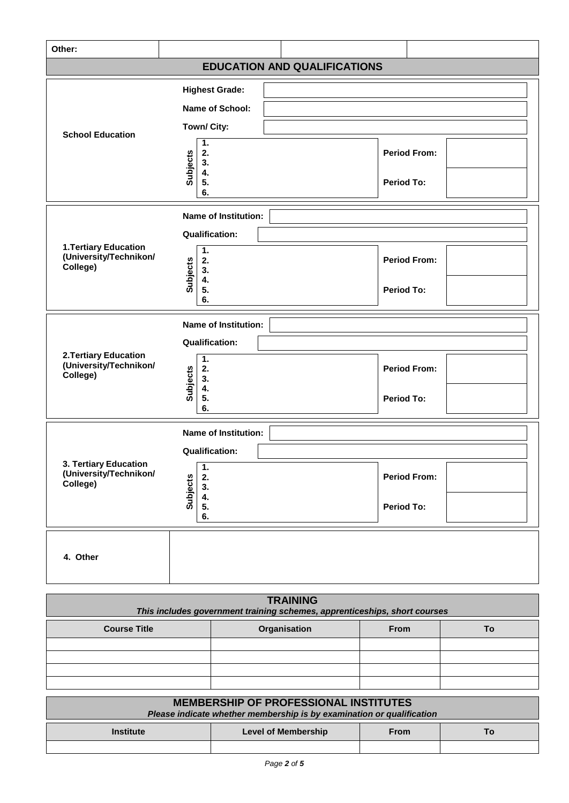| Other:                                                                                       |                                                                                                             |                                          |  |
|----------------------------------------------------------------------------------------------|-------------------------------------------------------------------------------------------------------------|------------------------------------------|--|
| <b>EDUCATION AND QUALIFICATIONS</b>                                                          |                                                                                                             |                                          |  |
| <b>School Education</b>                                                                      | <b>Highest Grade:</b><br>Name of School:<br>Town/ City:<br>1.<br>Subjects<br>2.<br>3.<br>4.<br>5.<br>6.     | <b>Period From:</b><br><b>Period To:</b> |  |
| <b>1. Tertiary Education</b><br>(University/Technikon/<br>College)                           | <b>Name of Institution:</b><br><b>Qualification:</b><br>1.<br><b>Subjects</b><br>2.<br>3.<br>4.<br>5.<br>6. | <b>Period From:</b><br><b>Period To:</b> |  |
| 2. Tertiary Education<br>(University/Technikon/<br>College)                                  | <b>Name of Institution:</b><br><b>Qualification:</b><br>1.<br><b>Subjects</b><br>2.<br>3.<br>4.<br>5.<br>6. | <b>Period From:</b><br><b>Period To:</b> |  |
| 3. Tertiary Education<br>(University/Technikon/<br>College)                                  | <b>Name of Institution:</b><br><b>Qualification:</b><br>1.<br><b>Subjects</b><br>2.<br>3.<br>4.<br>5.<br>6. | <b>Period From:</b><br>Period To:        |  |
| 4. Other                                                                                     |                                                                                                             |                                          |  |
| <b>TRAINING</b><br>This includes government training schemes, apprenticeships, short courses |                                                                                                             |                                          |  |
|                                                                                              |                                                                                                             |                                          |  |

| <b>Course Title</b> | Organisation | <b>From</b> | Тο |
|---------------------|--------------|-------------|----|
|                     |              |             |    |
|                     |              |             |    |
|                     |              |             |    |
|                     |              |             |    |

| <b>MEMBERSHIP OF PROFESSIONAL INSTITUTES</b>                          |                     |      |    |
|-----------------------------------------------------------------------|---------------------|------|----|
| Please indicate whether membership is by examination or qualification |                     |      |    |
| <b>Institute</b>                                                      | Level of Membership | From | Τo |
|                                                                       |                     |      |    |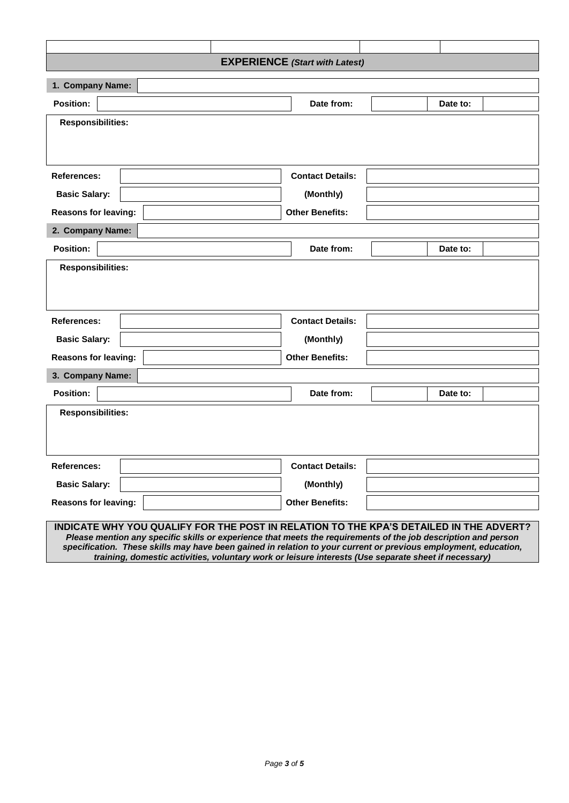| <b>EXPERIENCE</b> (Start with Latest) |                                                                                                                                                                                                          |          |  |  |
|---------------------------------------|----------------------------------------------------------------------------------------------------------------------------------------------------------------------------------------------------------|----------|--|--|
| 1. Company Name:                      |                                                                                                                                                                                                          |          |  |  |
| Position:                             | Date from:                                                                                                                                                                                               | Date to: |  |  |
| <b>Responsibilities:</b>              |                                                                                                                                                                                                          |          |  |  |
|                                       |                                                                                                                                                                                                          |          |  |  |
|                                       |                                                                                                                                                                                                          |          |  |  |
| <b>References:</b>                    | <b>Contact Details:</b>                                                                                                                                                                                  |          |  |  |
| <b>Basic Salary:</b>                  | (Monthly)                                                                                                                                                                                                |          |  |  |
| <b>Reasons for leaving:</b>           | <b>Other Benefits:</b>                                                                                                                                                                                   |          |  |  |
| 2. Company Name:                      |                                                                                                                                                                                                          |          |  |  |
| <b>Position:</b>                      | Date from:                                                                                                                                                                                               | Date to: |  |  |
| <b>Responsibilities:</b>              |                                                                                                                                                                                                          |          |  |  |
|                                       |                                                                                                                                                                                                          |          |  |  |
|                                       |                                                                                                                                                                                                          |          |  |  |
| References:                           | <b>Contact Details:</b>                                                                                                                                                                                  |          |  |  |
| <b>Basic Salary:</b>                  | (Monthly)                                                                                                                                                                                                |          |  |  |
| <b>Reasons for leaving:</b>           | <b>Other Benefits:</b>                                                                                                                                                                                   |          |  |  |
| 3. Company Name:                      |                                                                                                                                                                                                          |          |  |  |
| <b>Position:</b>                      | Date from:                                                                                                                                                                                               | Date to: |  |  |
| <b>Responsibilities:</b>              |                                                                                                                                                                                                          |          |  |  |
|                                       |                                                                                                                                                                                                          |          |  |  |
|                                       |                                                                                                                                                                                                          |          |  |  |
| <b>References:</b>                    | <b>Contact Details:</b>                                                                                                                                                                                  |          |  |  |
| <b>Basic Salary:</b>                  | (Monthly)                                                                                                                                                                                                |          |  |  |
| <b>Reasons for leaving:</b>           | <b>Other Benefits:</b>                                                                                                                                                                                   |          |  |  |
|                                       |                                                                                                                                                                                                          |          |  |  |
|                                       | INDICATE WHY YOU QUALIFY FOR THE POST IN RELATION TO THE KPA'S DETAILED IN THE ADVERT?<br>Please mention any specific skills or experience that meets the requirements of the job description and person |          |  |  |
|                                       | specification. These skills may have been gained in relation to your current or previous employment, education,                                                                                          |          |  |  |

*training, domestic activities, voluntary work or leisure interests (Use separate sheet if necessary)*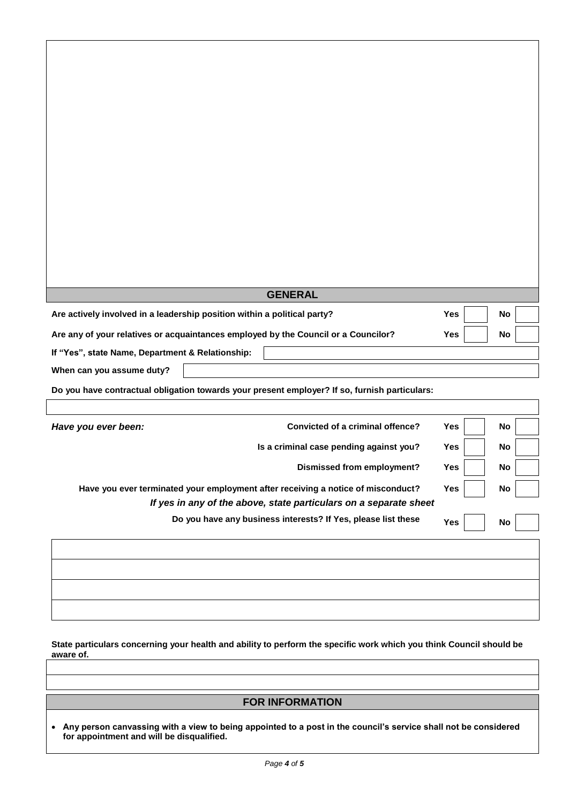|                                                                                               | <b>GENERAL</b>                          |            |    |  |  |
|-----------------------------------------------------------------------------------------------|-----------------------------------------|------------|----|--|--|
| Are actively involved in a leadership position within a political party?                      |                                         | Yes        | No |  |  |
| Are any of your relatives or acquaintances employed by the Council or a Councilor?            |                                         | Yes        | No |  |  |
| If "Yes", state Name, Department & Relationship:                                              |                                         |            |    |  |  |
| When can you assume duty?                                                                     |                                         |            |    |  |  |
| Do you have contractual obligation towards your present employer? If so, furnish particulars: |                                         |            |    |  |  |
|                                                                                               |                                         |            |    |  |  |
| Have you ever been:                                                                           | Convicted of a criminal offence?        | Yes        | No |  |  |
|                                                                                               | Is a criminal case pending against you? | <b>Yes</b> | No |  |  |
|                                                                                               | <b>Dismissed from employment?</b>       | Yes        | No |  |  |
| Have you ever terminated your employment after receiving a notice of misconduct?              |                                         |            | No |  |  |
| Yes<br>If yes in any of the above, state particulars on a separate sheet                      |                                         |            |    |  |  |
| Do you have any business interests? If Yes, please list these                                 |                                         |            | No |  |  |
|                                                                                               |                                         | Yes        |    |  |  |
|                                                                                               |                                         |            |    |  |  |
|                                                                                               |                                         |            |    |  |  |
|                                                                                               |                                         |            |    |  |  |
|                                                                                               |                                         |            |    |  |  |

**State particulars concerning your health and ability to perform the specific work which you think Council should be aware of.**

## **FOR INFORMATION**

 **Any person canvassing with a view to being appointed to a post in the council's service shall not be considered for appointment and will be disqualified.**